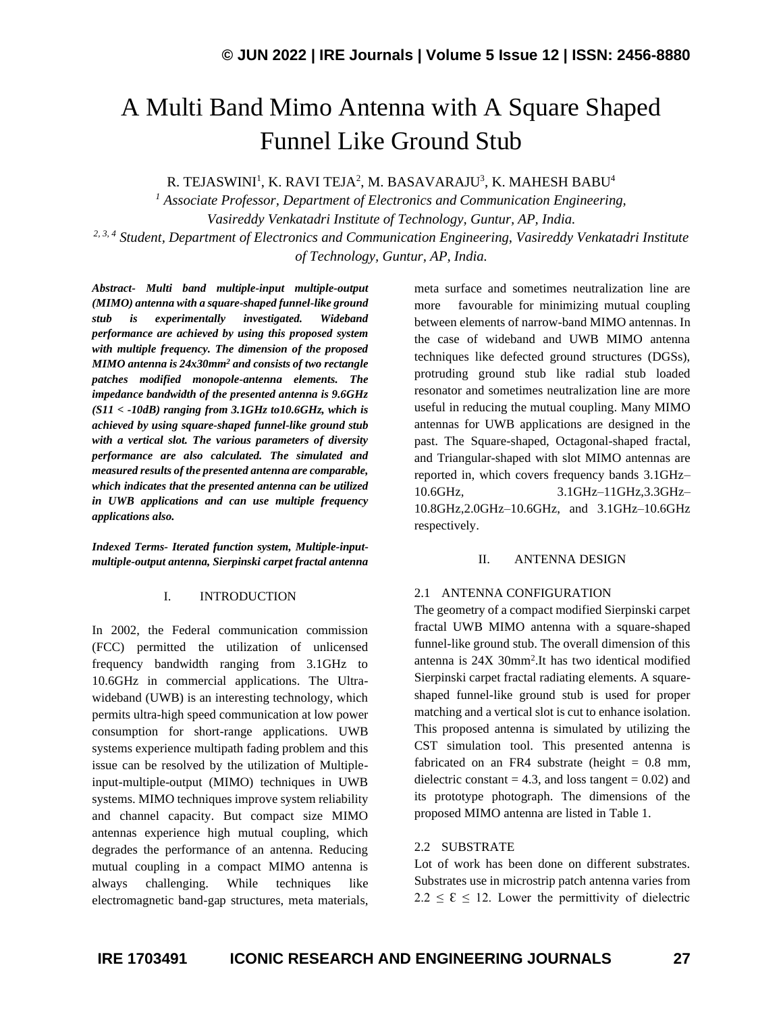# A Multi Band Mimo Antenna with A Square Shaped Funnel Like Ground Stub

R. TEJASWINI $^{\rm l}$ , K. RAVI TEJA $^{\rm 2}$ , M. BASAVARAJU $^{\rm 3}$ , K. MAHESH BABU $^{\rm 4}$ 

*<sup>1</sup> Associate Professor, Department of Electronics and Communication Engineering, Vasireddy Venkatadri Institute of Technology, Guntur, AP, India. 2, 3, 4 Student, Department of Electronics and Communication Engineering, Vasireddy Venkatadri Institute of Technology, Guntur, AP, India.*

*Abstract- Multi band multiple-input multiple-output (MIMO) antenna with a square-shaped funnel-like ground stub is experimentally investigated. Wideband performance are achieved by using this proposed system with multiple frequency. The dimension of the proposed MIMO antenna is 24x30mm<sup>2</sup> and consists of two rectangle patches modified monopole-antenna elements. The impedance bandwidth of the presented antenna is 9.6GHz (S11 < -10dB) ranging from 3.1GHz to10.6GHz, which is achieved by using square-shaped funnel-like ground stub with a vertical slot. The various parameters of diversity performance are also calculated. The simulated and measured results of the presented antenna are comparable, which indicates that the presented antenna can be utilized in UWB applications and can use multiple frequency applications also.*

*Indexed Terms- Iterated function system, Multiple-inputmultiple-output antenna, Sierpinski carpet fractal antenna*

#### I. INTRODUCTION

In 2002, the Federal communication commission (FCC) permitted the utilization of unlicensed frequency bandwidth ranging from 3.1GHz to 10.6GHz in commercial applications. The Ultrawideband (UWB) is an interesting technology, which permits ultra-high speed communication at low power consumption for short-range applications. UWB systems experience multipath fading problem and this issue can be resolved by the utilization of Multipleinput-multiple-output (MIMO) techniques in UWB systems. MIMO techniques improve system reliability and channel capacity. But compact size MIMO antennas experience high mutual coupling, which degrades the performance of an antenna. Reducing mutual coupling in a compact MIMO antenna is always challenging. While techniques like electromagnetic band-gap structures, meta materials, meta surface and sometimes neutralization line are more favourable for minimizing mutual coupling between elements of narrow-band MIMO antennas. In the case of wideband and UWB MIMO antenna techniques like defected ground structures (DGSs), protruding ground stub like radial stub loaded resonator and sometimes neutralization line are more useful in reducing the mutual coupling. Many MIMO antennas for UWB applications are designed in the past. The Square-shaped, Octagonal-shaped fractal, and Triangular-shaped with slot MIMO antennas are reported in, which covers frequency bands 3.1GHz– 10.6GHz, 3.1GHz–11GHz,3.3GHz– 10.8GHz,2.0GHz–10.6GHz, and 3.1GHz–10.6GHz respectively.

#### II. ANTENNA DESIGN

#### 2.1 ANTENNA CONFIGURATION

The geometry of a compact modified Sierpinski carpet fractal UWB MIMO antenna with a square-shaped funnel-like ground stub. The overall dimension of this antenna is 24X 30mm<sup>2</sup> .It has two identical modified Sierpinski carpet fractal radiating elements. A squareshaped funnel-like ground stub is used for proper matching and a vertical slot is cut to enhance isolation. This proposed antenna is simulated by utilizing the CST simulation tool. This presented antenna is fabricated on an FR4 substrate (height  $= 0.8$  mm, dielectric constant  $= 4.3$ , and loss tangent  $= 0.02$ ) and its prototype photograph. The dimensions of the proposed MIMO antenna are listed in Table 1.

#### 2.2 SUBSTRATE

Lot of work has been done on different substrates. Substrates use in microstrip patch antenna varies from  $2.2 \le \epsilon \le 12$ . Lower the permittivity of dielectric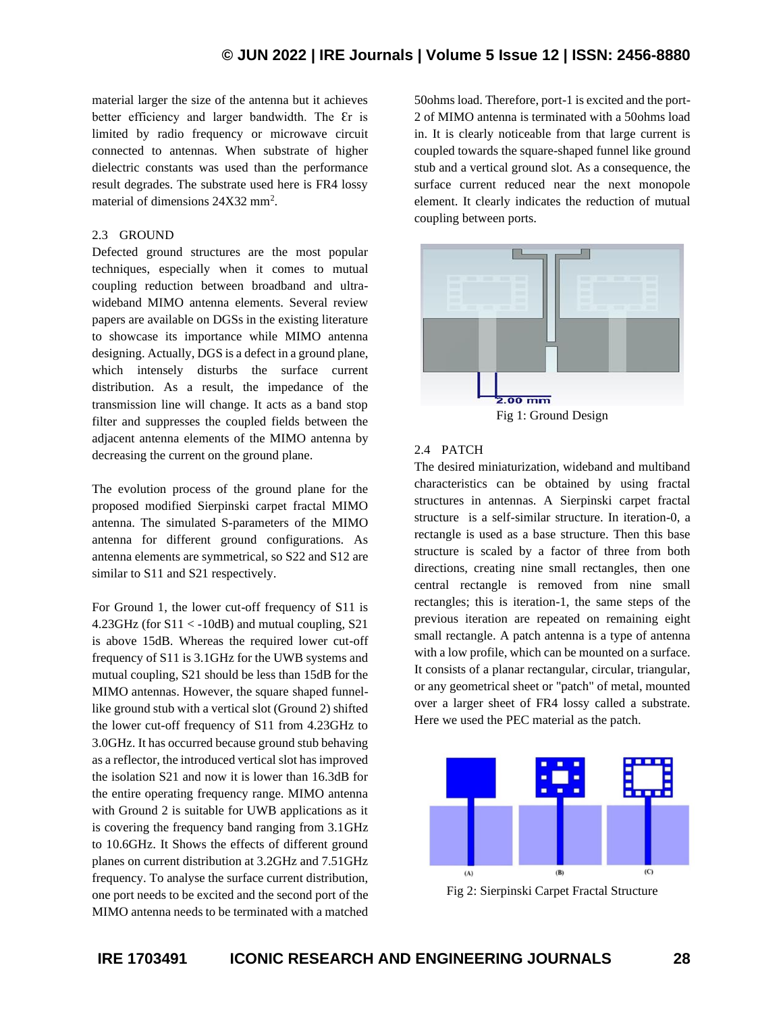material larger the size of the antenna but it achieves better efficiency and larger bandwidth. The Er is limited by radio frequency or microwave circuit connected to antennas. When substrate of higher dielectric constants was used than the performance result degrades. The substrate used here is FR4 lossy material of dimensions 24X32 mm<sup>2</sup>.

## 2.3 GROUND

Defected ground structures are the most popular techniques, especially when it comes to mutual coupling reduction between broadband and ultrawideband MIMO antenna elements. Several review papers are available on DGSs in the existing literature to showcase its importance while MIMO antenna designing. Actually, DGS is a defect in a ground plane, which intensely disturbs the surface current distribution. As a result, the impedance of the transmission line will change. It acts as a band stop filter and suppresses the coupled fields between the adjacent antenna elements of the MIMO antenna by decreasing the current on the ground plane.

The evolution process of the ground plane for the proposed modified Sierpinski carpet fractal MIMO antenna. The simulated S-parameters of the MIMO antenna for different ground configurations. As antenna elements are symmetrical, so S22 and S12 are similar to S11 and S21 respectively.

For Ground 1, the lower cut-off frequency of S11 is  $4.23$ GHz (for S11 < -10dB) and mutual coupling, S21 is above 15dB. Whereas the required lower cut-off frequency of S11 is 3.1GHz for the UWB systems and mutual coupling, S21 should be less than 15dB for the MIMO antennas. However, the square shaped funnellike ground stub with a vertical slot (Ground 2) shifted the lower cut-off frequency of S11 from 4.23GHz to 3.0GHz. It has occurred because ground stub behaving as a reflector, the introduced vertical slot has improved the isolation S21 and now it is lower than 16.3dB for the entire operating frequency range. MIMO antenna with Ground 2 is suitable for UWB applications as it is covering the frequency band ranging from 3.1GHz to 10.6GHz. It Shows the effects of different ground planes on current distribution at 3.2GHz and 7.51GHz frequency. To analyse the surface current distribution, one port needs to be excited and the second port of the MIMO antenna needs to be terminated with a matched 50ohms load. Therefore, port-1 is excited and the port-2 of MIMO antenna is terminated with a 50ohms load in. It is clearly noticeable from that large current is coupled towards the square-shaped funnel like ground stub and a vertical ground slot. As a consequence, the surface current reduced near the next monopole element. It clearly indicates the reduction of mutual coupling between ports.



## 2.4 PATCH

The desired miniaturization, wideband and multiband characteristics can be obtained by using fractal structures in antennas. A Sierpinski carpet fractal structure is a self-similar structure. In iteration-0, a rectangle is used as a base structure. Then this base structure is scaled by a factor of three from both directions, creating nine small rectangles, then one central rectangle is removed from nine small rectangles; this is iteration-1, the same steps of the previous iteration are repeated on remaining eight small rectangle. A patch antenna is a type of antenna with a low profile, which can be mounted on a surface. It consists of a planar rectangular, circular, triangular, or any geometrical sheet or "patch" of metal, mounted over a larger sheet of FR4 lossy called a substrate. Here we used the PEC material as the patch.



Fig 2: Sierpinski Carpet Fractal Structure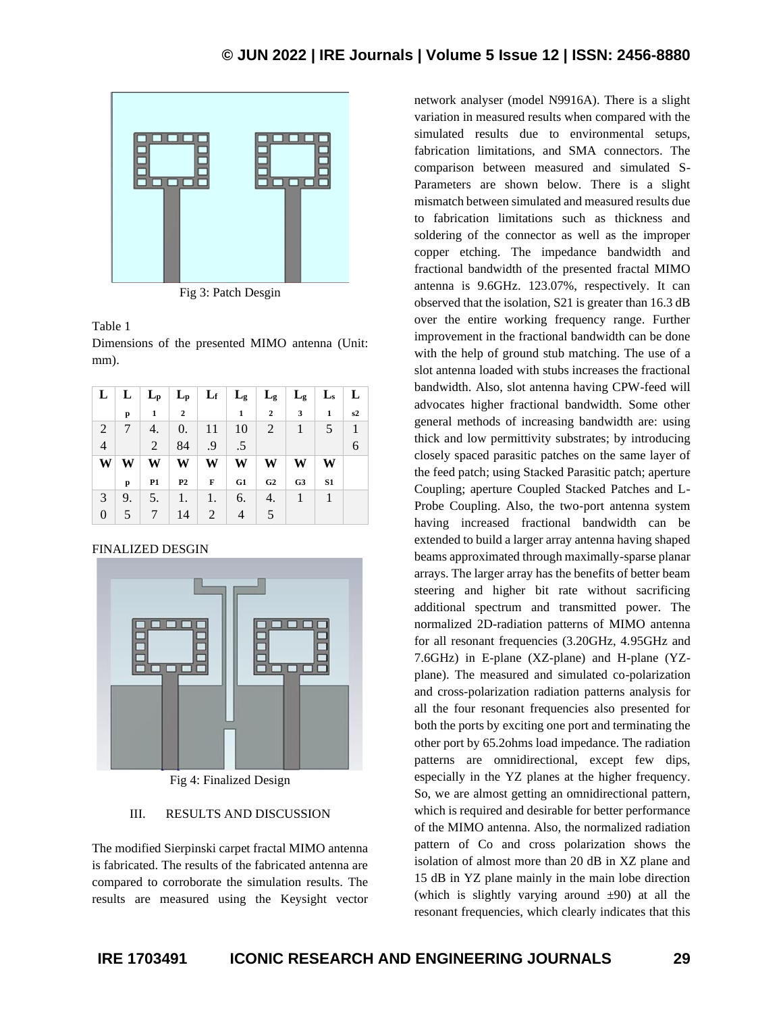

Fig 3: Patch Desgin

#### Table 1

Dimensions of the presented MIMO antenna (Unit: mm).

|                |        |           |                  |             | $L \mid L \mid L_p \mid L_p \mid L_f \mid L_g \mid L_g \mid L_g \mid L_s \mid L$ |                 |                         |                |                |
|----------------|--------|-----------|------------------|-------------|----------------------------------------------------------------------------------|-----------------|-------------------------|----------------|----------------|
|                | p      | 1         | $\overline{2}$   |             | 1                                                                                | $\overline{2}$  | $\overline{\mathbf{3}}$ | 1              | s2             |
| 2              | $\tau$ | 4.        | $\overline{0}$ . | 11          | 10                                                                               | $\vert 2 \vert$ | $\mathbf{1}$            | 5              | $\overline{1}$ |
| $\overline{4}$ |        | 2         | 84               | .9          | $.5\,$                                                                           |                 |                         |                |                |
| W              | W      | W         | W                | W           | W                                                                                | W               | W                       | W              |                |
|                | p      | <b>P1</b> | P <sub>2</sub>   | $\mathbf F$ | G1                                                                               | G2              | G <sub>3</sub>          | S <sub>1</sub> |                |
| 3              | 9.     | 5.        | 1.               | 1.          | 6.                                                                               | 4.              | $\overline{1}$          | $\overline{1}$ |                |
| 0              | 5      | $\tau$    | 14               | 2           | $\overline{4}$                                                                   | 5               |                         |                |                |

#### FINALIZED DESGIN



Fig 4: Finalized Design

#### III. RESULTS AND DISCUSSION

The modified Sierpinski carpet fractal MIMO antenna is fabricated. The results of the fabricated antenna are compared to corroborate the simulation results. The results are measured using the Keysight vector network analyser (model N9916A). There is a slight variation in measured results when compared with the simulated results due to environmental setups, fabrication limitations, and SMA connectors. The comparison between measured and simulated S-Parameters are shown below. There is a slight mismatch between simulated and measured results due to fabrication limitations such as thickness and soldering of the connector as well as the improper copper etching. The impedance bandwidth and fractional bandwidth of the presented fractal MIMO antenna is 9.6GHz. 123.07%, respectively. It can observed that the isolation, S21 is greater than 16.3 dB over the entire working frequency range. Further improvement in the fractional bandwidth can be done with the help of ground stub matching. The use of a slot antenna loaded with stubs increases the fractional bandwidth. Also, slot antenna having CPW-feed will advocates higher fractional bandwidth. Some other general methods of increasing bandwidth are: using thick and low permittivity substrates; by introducing closely spaced parasitic patches on the same layer of the feed patch; using Stacked Parasitic patch; aperture Coupling; aperture Coupled Stacked Patches and L-Probe Coupling. Also, the two-port antenna system having increased fractional bandwidth can be extended to build a larger array antenna having shaped beams approximated through maximally-sparse planar arrays. The larger array has the benefits of better beam steering and higher bit rate without sacrificing additional spectrum and transmitted power. The normalized 2D-radiation patterns of MIMO antenna for all resonant frequencies (3.20GHz, 4.95GHz and 7.6GHz) in E-plane (XZ-plane) and H-plane (YZplane). The measured and simulated co-polarization and cross-polarization radiation patterns analysis for all the four resonant frequencies also presented for both the ports by exciting one port and terminating the other port by 65.2ohms load impedance. The radiation patterns are omnidirectional, except few dips, especially in the YZ planes at the higher frequency. So, we are almost getting an omnidirectional pattern, which is required and desirable for better performance of the MIMO antenna. Also, the normalized radiation pattern of Co and cross polarization shows the isolation of almost more than 20 dB in XZ plane and 15 dB in YZ plane mainly in the main lobe direction (which is slightly varying around  $\pm 90$ ) at all the resonant frequencies, which clearly indicates that this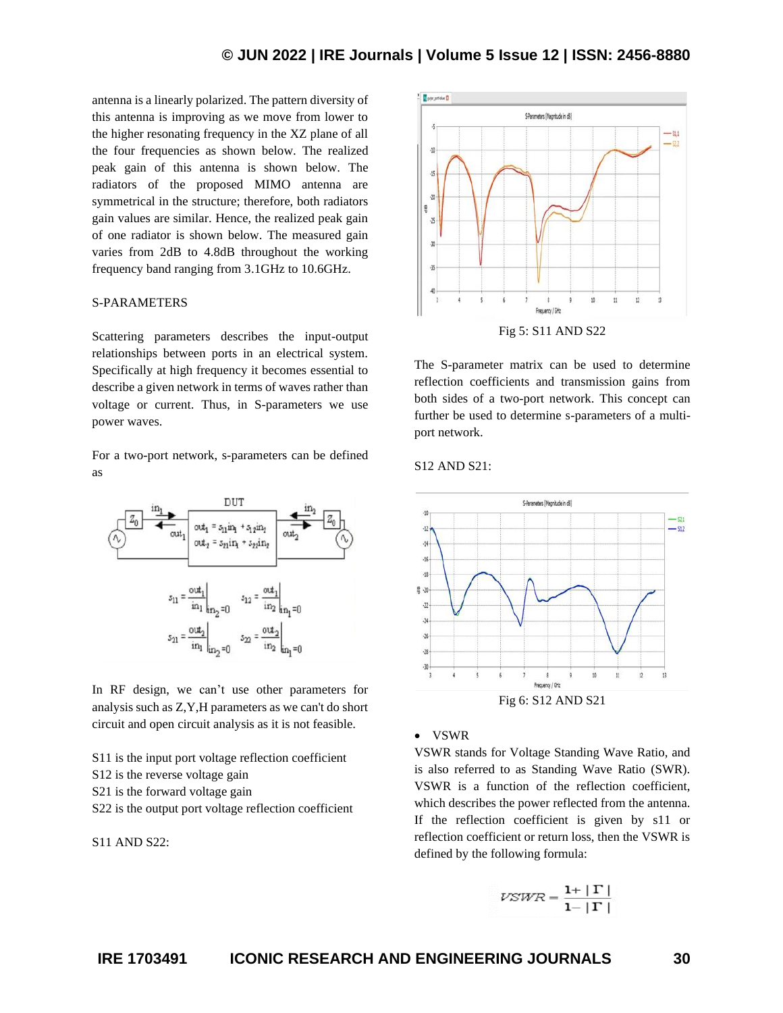antenna is a linearly polarized. The pattern diversity of this antenna is improving as we move from lower to the higher resonating frequency in the XZ plane of all the four frequencies as shown below. The realized peak gain of this antenna is shown below. The radiators of the proposed MIMO antenna are symmetrical in the structure; therefore, both radiators gain values are similar. Hence, the realized peak gain of one radiator is shown below. The measured gain varies from 2dB to 4.8dB throughout the working frequency band ranging from 3.1GHz to 10.6GHz.

# S-PARAMETERS

Scattering parameters describes the input-output relationships between ports in an electrical system. Specifically at high frequency it becomes essential to describe a given network in terms of waves rather than voltage or current. Thus, in S-parameters we use power waves.

For a two-port network, s-parameters can be defined as



In RF design, we can't use other parameters for analysis such as Z,Y,H parameters as we can't do short circuit and open circuit analysis as it is not feasible.

S11 is the input port voltage reflection coefficient

S12 is the reverse voltage gain

S<sub>21</sub> is the forward voltage gain

S22 is the output port voltage reflection coefficient

 $S11$  AND  $S22$ 



The S-parameter matrix can be used to determine reflection coefficients and transmission gains from both sides of a two-port network. This concept can further be used to determine s-parameters of a multiport network.

S12 AND S21:



#### • VSWR

VSWR stands for Voltage Standing Wave Ratio, and is also referred to as Standing Wave Ratio (SWR). VSWR is a function of the reflection coefficient, which describes the power reflected from the antenna. If the reflection coefficient is given by s11 or reflection coefficient or return loss, then the VSWR is defined by the following formula:

$$
VSWR = \frac{1+|\Gamma|}{1-|\Gamma|}
$$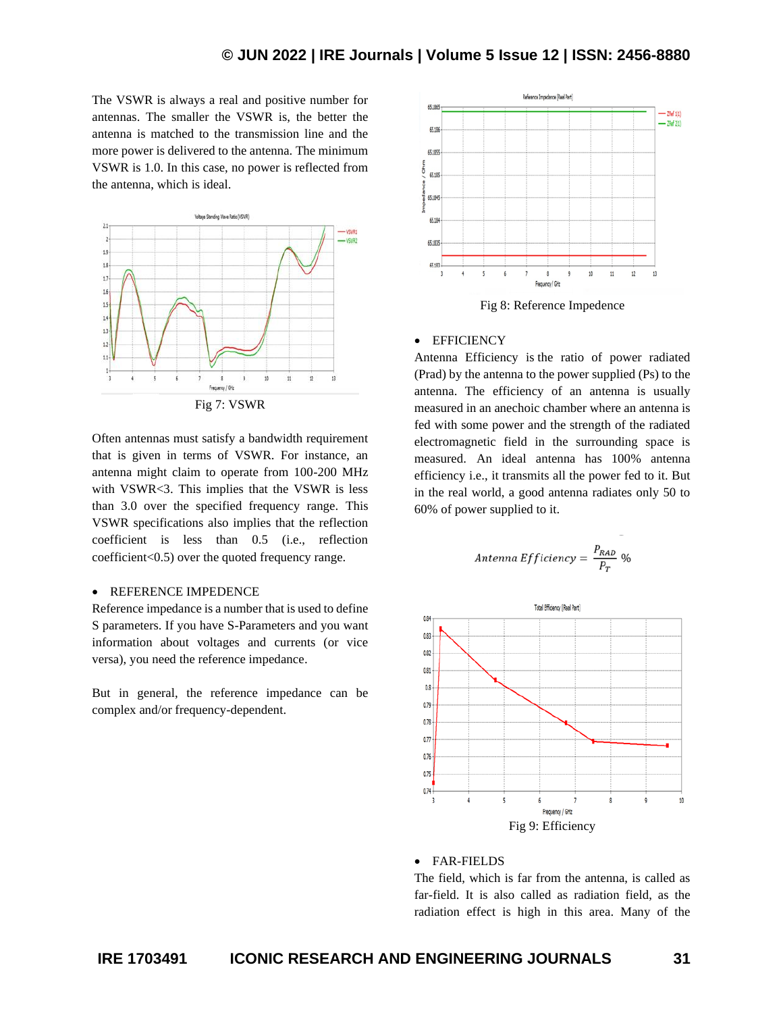The VSWR is always a real and positive number for antennas. The smaller the VSWR is, the better the antenna is matched to the transmission line and the more power is delivered to the antenna. The minimum VSWR is 1.0. In this case, no power is reflected from the antenna, which is ideal.



Fig 7: VSWR

Often antennas must satisfy a bandwidth requirement that is given in terms of VSWR. For instance, an antenna might claim to operate from 100-200 MHz with VSWR<3. This implies that the VSWR is less than 3.0 over the specified frequency range. This VSWR specifications also implies that the reflection coefficient is less than 0.5 (i.e., reflection coefficient<0.5) over the quoted frequency range.

### • REFERENCE IMPEDENCE

Reference impedance is a number that is used to define S parameters. If you have S-Parameters and you want information about voltages and currents (or vice versa), you need the reference impedance.

But in general, the reference impedance can be complex and/or frequency-dependent.



#### • EFFICIENCY

Antenna Efficiency is the ratio of power radiated (Prad) by the antenna to the power supplied (Ps) to the antenna. The efficiency of an antenna is usually measured in an anechoic chamber where an antenna is fed with some power and the strength of the radiated electromagnetic field in the surrounding space is measured. An ideal antenna has 100% antenna efficiency i.e., it transmits all the power fed to it. But in the real world, a good antenna radiates only 50 to 60% of power supplied to it.

Antenna *Efficiency* = 
$$
\frac{P_{RAD}}{P_T}
$$
 %



#### • FAR-FIELDS

The field, which is far from the antenna, is called as far-field. It is also called as radiation field, as the radiation effect is high in this area. Many of the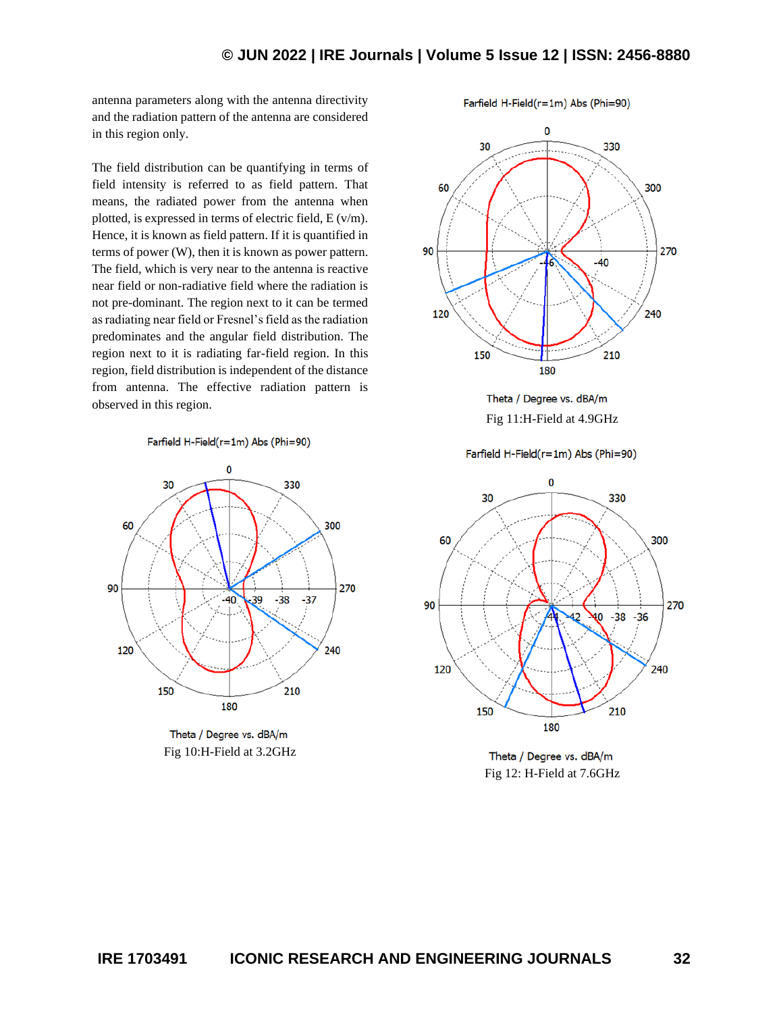antenna parameters along with the antenna directivity and the radiation pattern of the antenna are considered in this region only.

The field distribution can be quantifying in terms of field intensity is referred to as field pattern. That means, the radiated power from the antenna when plotted, is expressed in terms of electric field, E (v/m). Hence, it is known as field pattern. If it is quantified in terms of power (W), then it is known as power pattern. The field, which is very near to the antenna is reactive near field or non-radiative field where the radiation is not pre-dominant. The region next to it can be termed as radiating near field or Fresnel's field as the radiation predominates and the angular field distribution. The region next to it is radiating far-field region. In this region, field distribution is independent of the distance from antenna. The effective radiation pattern is observed in this region.

Farfield H-Field(r=1m) Abs (Phi=90)



Theta / Degree vs. dBA/m Fig 10:H-Field at 3.2GHz

Farfield H-Field(r=1m) Abs (Phi=90)



Theta / Degree vs. dBA/m Fig 11:H-Field at 4.9GHz

Farfield H-Field(r=1m) Abs (Phi=90)



Theta / Degree vs. dBA/m Fig 12: H-Field at 7.6GHz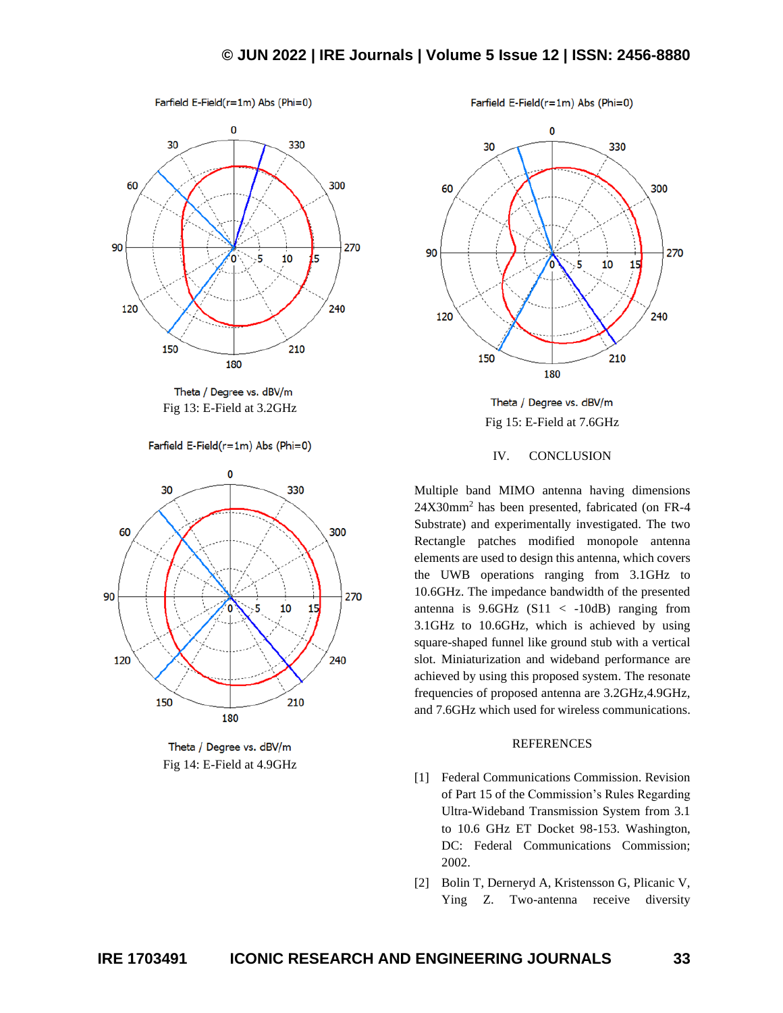# **© JUN 2022 | IRE Journals | Volume 5 Issue 12 | ISSN: 2456-8880**



Theta / Degree vs. dBV/m Fig 13: E-Field at 3.2GHz

Farfield E-Field(r=1m) Abs (Phi=0)



Theta / Degree vs. dBV/m Fig 14: E-Field at 4.9GHz

Farfield E-Field(r=1m) Abs (Phi=0)



Theta / Degree vs. dBV/m Fig 15: E-Field at 7.6GHz

### IV. CONCLUSION

Multiple band MIMO antenna having dimensions 24X30mm<sup>2</sup> has been presented, fabricated (on FR-4 Substrate) and experimentally investigated. The two Rectangle patches modified monopole antenna elements are used to design this antenna, which covers the UWB operations ranging from 3.1GHz to 10.6GHz. The impedance bandwidth of the presented antenna is  $9.6$ GHz (S11 < -10dB) ranging from 3.1GHz to 10.6GHz, which is achieved by using square-shaped funnel like ground stub with a vertical slot. Miniaturization and wideband performance are achieved by using this proposed system. The resonate frequencies of proposed antenna are 3.2GHz, 4.9GHz, and 7.6GHz which used for wireless communications.

#### **REFERENCES**

- [1] Federal Communications Commission. Revision of Part 15 of the Commission's Rules Regarding Ultra-Wideband Transmission System from 3.1 to 10.6 GHz ET Docket 98-153. Washington, DC: Federal Communications Commission; 2002.
- [2] Bolin T, Derneryd A, Kristensson G, Plicanic V, Ying Z. Two-antenna receive diversity